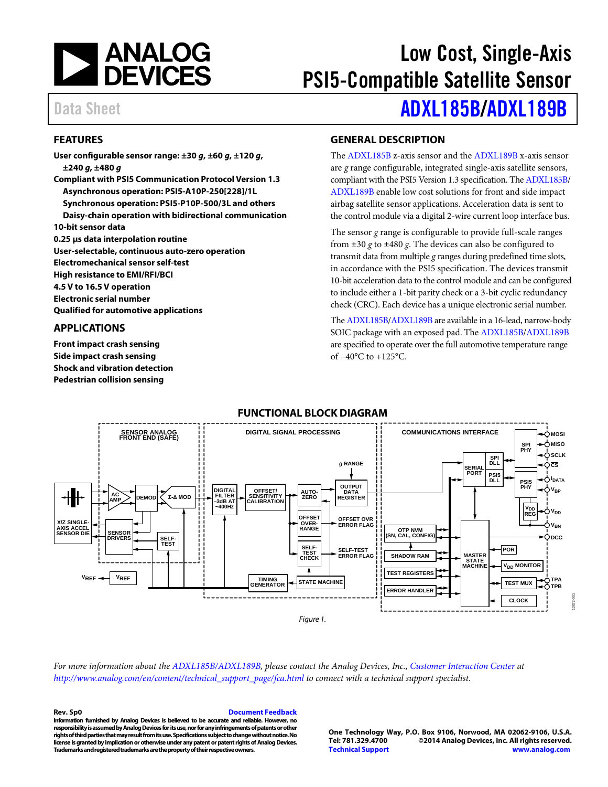

# Low Cost, Single-Axis PSI5-Compatible Satellite Sensor

### **FEATURES**

**User configurable sensor range: ±30** *g***, ±60** *g***, ±120** *g***, ±240** *g***, ±480** *g* **Compliant with PSI5 Communication Protocol Version 1.3 Asynchronous operation: PSI5-A10P-250[228]/1L Synchronous operation: PSI5-P10P-500/3L and others Daisy-chain operation with bidirectional communication 10-bit sensor data 0.25 µs data interpolation routine User-selectable, continuous auto-zero operation Electromechanical sensor self-test High resistance to EMI/RFI/BCI 4.5 V to 16.5 V operation**

**Electronic serial number Qualified for automotive applications**

### **APPLICATIONS**

**Front impact crash sensing Side impact crash sensing Shock and vibration detection Pedestrian collision sensing**

# Data Sheet **[ADXL185B/](http://www.analog.com/ADXL185B?doc=ADXL185B_189B.pdf)[ADXL189B](http://www.analog.com/ADXL189B?doc=ADXL185B_189B.pdf)**

### **GENERAL DESCRIPTION**

The [ADXL185B](http://www.analog.com/ADXL185B?doc=ADXL185B_189B.pdf) z-axis sensor and th[e ADXL189B](http://www.analog.com/ADXL189B?doc=ADXL185B_189B.pdf) x-axis sensor are *g* range configurable, integrated single-axis satellite sensors, compliant with the PSI5 Version 1.3 specification. Th[e ADXL185B/](http://www.analog.com/ADXL185B?doc=ADXL185B_189B.pdf) [ADXL189B](http://www.analog.com/ADXL189B?doc=ADXL185B_189B.pdf) enable low cost solutions for front and side impact airbag satellite sensor applications. Acceleration data is sent to the control module via a digital 2-wire current loop interface bus.

The sensor *g* range is configurable to provide full-scale ranges from  $\pm 30$  g to  $\pm 480$  g. The devices can also be configured to transmit data from multiple *g* ranges during predefined time slots, in accordance with the PSI5 specification. The devices transmit 10-bit acceleration data to the control module and can be configured to include either a 1-bit parity check or a 3-bit cyclic redundancy check (CRC). Each device has a unique electronic serial number.

Th[e ADXL185B](http://www.analog.com/ADXL185B?doc=ADXL185B_189B.pdf)[/ADXL189B](http://www.analog.com/ADXL189B?doc=ADXL185B_189B.pdf) are available in a 16-lead, narrow-body SOIC package with an exposed pad. Th[e ADXL185B/](http://www.analog.com/ADXL185B?doc=ADXL185B_189B.pdf)[ADXL189B](http://www.analog.com/ADXL189B?doc=ADXL185B_189B.pdf) are specified to operate over the full automotive temperature range of −40°C to +125°C.

#### **FUNCTIONAL BLOCK DIAGRAM**



*For more information about th[e ADXL185B](http://www.analog.com/ADXL185B?doc=ADXL185B_189B.pdf)[/ADXL189B,](http://www.analog.com/ADXL189B?doc=ADXL185B_189B.pdf) please contact the Analog Devices, Inc., [Customer Interaction Center](http://www.analog.com/en/content/technical_support_page/fca.html) at [http://www.analog.com/en/content/technical\\_support\\_page/fca.html](http://www.analog.com/en/content/technical_support_page/fca.html) to connect with a technical support specialist*.

#### **Rev. Sp0 [Document Feedback](https://form.analog.com/Form_Pages/feedback/documentfeedback.aspx?doc=ADXL185B_189B.pdf&product=ADXL185B%20ADXL189B&rev=Sp0)**

**Information furnished by [Analog Devices is](http://www.analog.com) believed to be accurate and reliable. However, no responsibility is assumed by Analog Devices for its use, nor for any infringements of patents or other rights of third parties that may result from its use. Specifications subject to change without notice. No license is granted by implication or otherwise under any patent or patent rights of [Analog Devices.](http://www.analog.com)  Trademarks and registered trademarks are the property of their respective owners.**

**One Technology Way, P.O. Box 9106, Norwood, MA 02062-9106, U.S.A. Tel: 781.329.4700 ©2014 [Analog Devices, Inc.](http://www.analog.com) All rights reserved. [Technical Support](http://www.analog.com/en/content/technical_support_page/fca.html) [www.analog.com](http://www.analog.com/)**

12072-001

2072-00